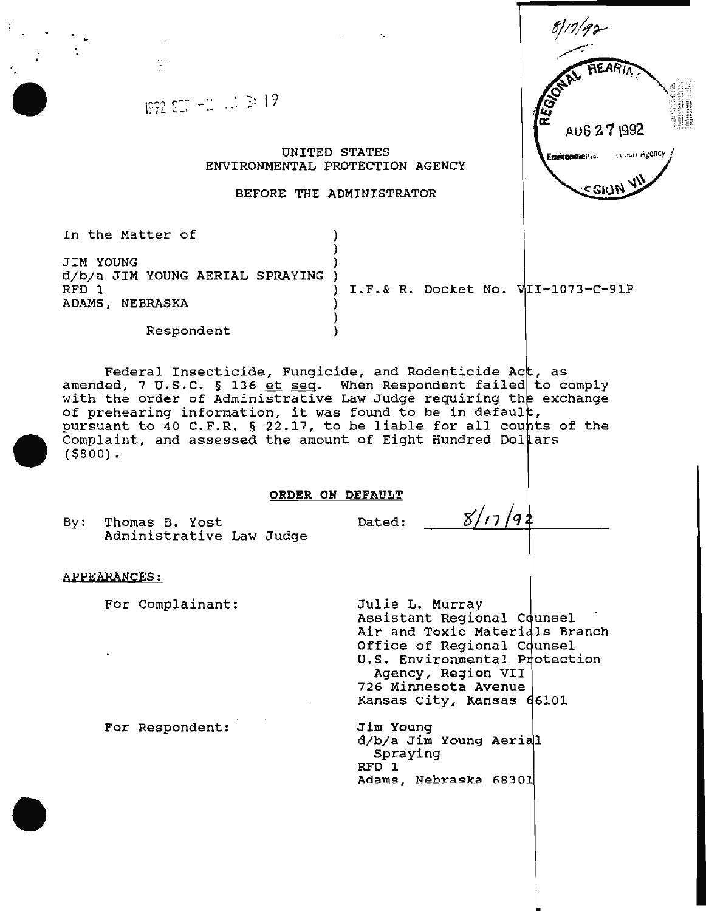$192$   $50 - 2$   $13 \ge 19$ AUG *2* 7\992 UNITED STATES ecouri Agency Environmenta. ENVIRONMENTAL PROTECTION AGENCY 5 GIUI BEFORE THE ADMINISTRATOR In the Matter of ) JIM YOUNG d/b/a JIM YOUNG AERIAL SPRAYING )<br>RFD 1  $I.F. & R. Docket No. VII-1073-C-91P$ ADAMS, NEBRASKA ) Respondent (1) Federal Insecticide, Fungicide, and Rodenticide Act, as redefair insecticide, rungicide, and Rodenticide ACC, as<br>amended, 7 U.S.C. § 136 et seg. When Respondent failed to comply with the order of Administrative Law Judge requiring the exchange with the order of Administrative Law Judge requiring the<br>of prehearing information, it was found to be in default, of premearing information, it was found to be in default,<br>pursuant to 40 C.F.R. § 22.17, to be liable for all counts of the parbanno co to official states, we see finded for the complaint, and assessed the amount of Eight Hundred Dollars (\$800). ORDER ON DEFAULT  $8/17/92$ By: Thomas B. Yost Dated: Administrative Law Judge APPEARANCES: For Complainant: Julie L. Murray Assistant Regional Counsel Air and Toxic Materials Branch Office of Regional Counsel U.S. Environmental Protection Agency, Region VII 726 Minnesota Avenue Kansas City, Kansas For Respondent: Jim Young d/b/a Jim Young Spraying RFD 1 Adams, Nebraska 68301

 $81/7/92$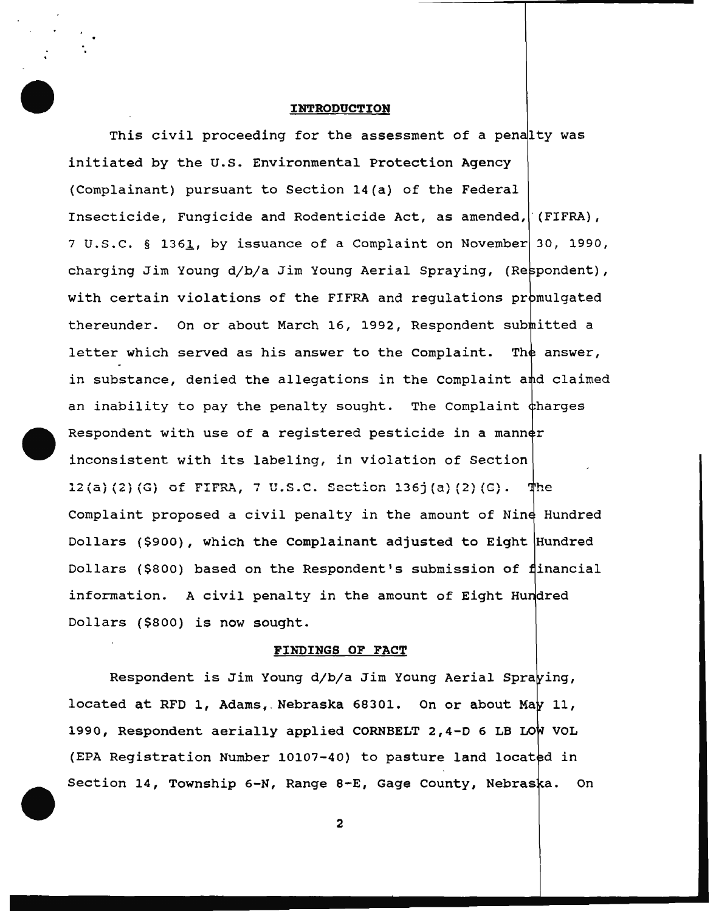#### INTRODUCTION

This civil proceeding for the assessment of a penalty was initiated by the U.S. Environmental Protection Agency (Complainant) pursuant to Section 14(a) of the Federal Insecticide, Fungicide and Rodenticide Act, as amended, ' (FIFRA), 7 U.S.C. § 1361, by issuance of a Complaint on November 30, 1990, charging Jim Young d/b/a Jim Young Aerial Spraying, (Re with certain violations of the FIFRA and regulations promulgated thereunder. On or about March 16, 1992, Respondent s letter which served as his answer to the Complaint. The answer, in substance, denied the allegations in the Complaint  $a$ nd claimed an inability to pay the penalty sought. The Complaint charges Respondent with use of a registered pesticide in a man inconsistent with its labeling, in violation of Section **<sup>12</sup>(a) (2) (G) of** FIFRA, **7 u.s.c. Section 136j (a)** (2) **(G).**  Complaint proposed a civil penalty in the amount of Ni Dollars (\$900), which the Complainant adjusted to Eight  $\big|$ Hundred Dollars (\$800) based on the Respondent's submission of financial information. A civil penalty in the amount of Eight Dollars (\$800) is now sought.

#### FINDINGS OF FACT

Respondent is Jim Young d/b/a Jim Young located at RFD 1, Adams, Nebraska 68301. On or about Ma $\flat$  11, 1990, Respondent aerially applied CORNBELT 2,4-D 6 LB VOL (EPA Registration Number 10107-40) to pasture land located in Section 14, Township 6-N, Range 8-E, Gage County, Nebraska. On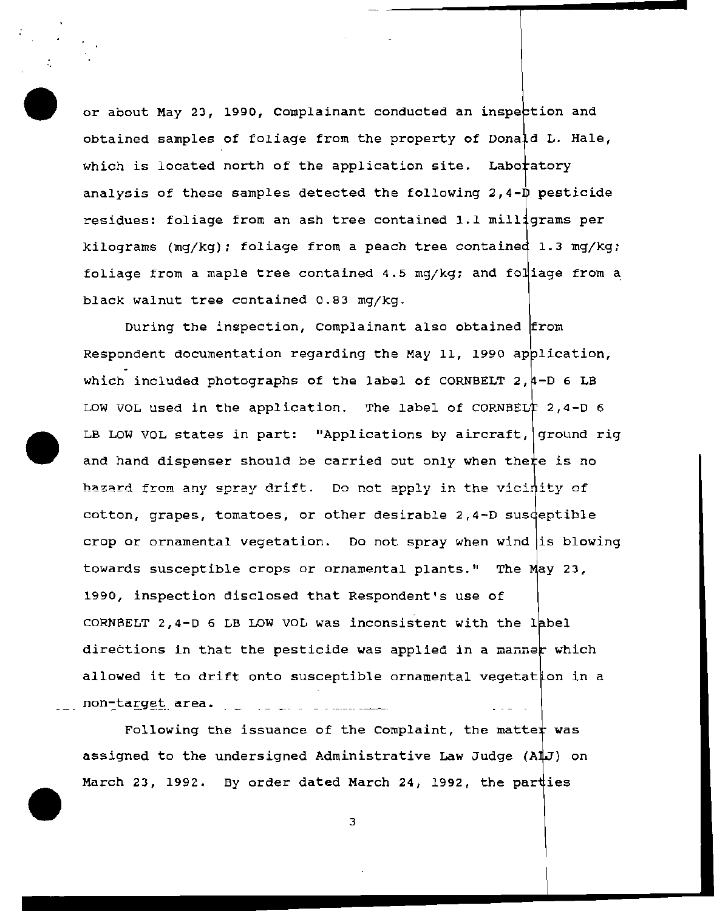or about May 23, 1990, Complainant conducted an inspection and obtained samples of foliage from the property of Donald L. Hale, which is located north of the application site. Laboratory analysis of these samples detected the following  $2,4-\nightharpoonup$  pesticide residues: foliage from an ash tree contained 1.1 milligrams per kilograms (mq/kg); foliage from a peach tree contained 1.3 mg/kg; foliage from a maple tree contained 4.5 mg/kg; and fol $^{\dagger}_{\vphantom{1}}$ iage from a black walnut tree contained 0.83 mg/kg.

During the inspection, Complainant also obtained from Respondent documentation regarding the May 11, 1990 application, which included photographs of the label of CORNBELT  $2, 4-D$  6 LB LOW VOL used in the application. The label of CORNBELT  $2,4-D$  6 LB LOW VOL states in part: "Applications by aircraft, ground rig and hand dispenser should be carried out only when there is no hazard from any spray drift. Do not apply in the vicinity of cotton, grapes, tomatoes, or other desirable 2,4-D sus crop or ornamental vegetation. Do not spray when wind is blowing towards susceptible crops or ornamental plants." The May 23, 1990, inspection disclosed that Respondent's use of CORNBELT 2,4-D 6 LB LOW VOL was inconsistent with the label directions in that the pesticide was applied in a manner which allowed it to drift onto susceptible ornamental vegetation in a non-target area. \_ \_ \_ \_ \_ \_ \_ \_ \_ \_ \_ \_ \_ \_

Following the issuance of the Complaint, the matter was assigned to the undersigned Administrative Law Judge  $(A \nI J)$  on March 23, 1992. By order dated March 24, 1992, the parties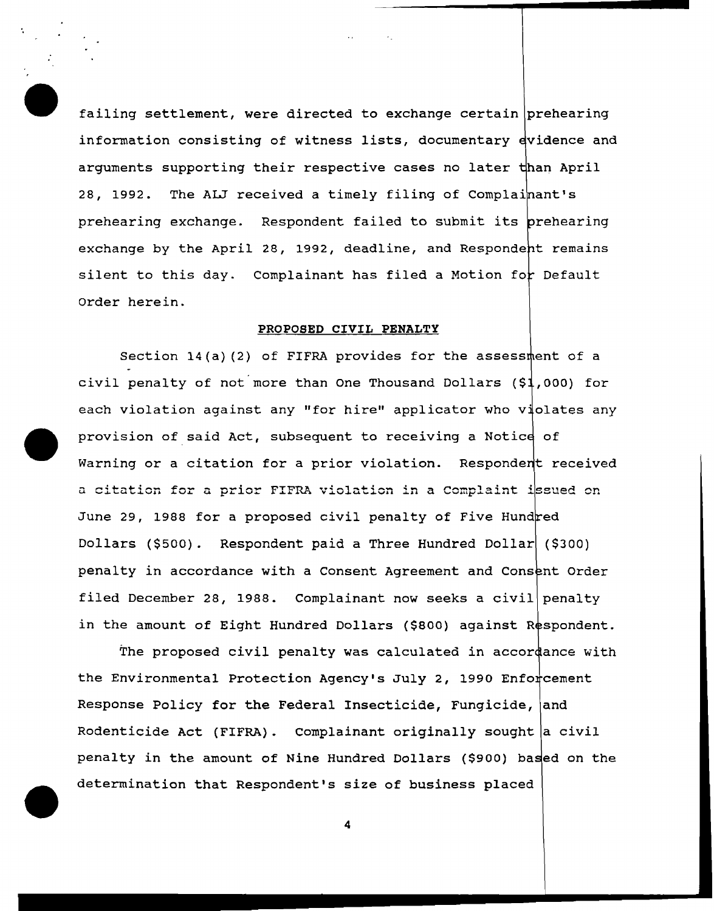failing settlement, were directed to exchange certain prehearing information consisting of witness lists, documentary  $\frac{1}{2}$  evidence and arguments supporting their respective cases no later 28, 1992. The ALJ received a timely filing of Complainant's prehearing exchange. Respondent failed to submit its  $\rho$ rehearing exchange by the April 28, 1992, deadline, and Respondent remains silent to this day. Complainant has filed a Motion for Default Order herein.

## PROPOSED CIVIL PENALTY

Section 14(a) (2) of FIFRA provides for the assessment of a civil penalty of not more than One Thousand Dollars (\$1,000) for each violation against any "for hire" applicator who violates any provision of said Act, subsequent to receiving a Warning or a citation for a prior violation. Respondent received a citation for a prior FIFRA violation in a Complaint issued on June 29, 1988 for a proposed civil penalty of Five Hundred Dollars (\$500). Respondent paid a Three Hundred Dollar (\$300) penalty in accordance with a Consent Agreement and Cons filed December 28, 1988. Complainant now seeks a civil penalty in the amount of Eight Hundred Dollars (\$800) against Respondent.

The proposed civil penalty was calculated in accor $\dfrac{1}{4}$ ance with the Environmental Protection Agency's July 2, 1990 Enfo Response Policy for the Federal Insecticide, Fungicide, and Rodenticide Act (FIFRA). Complainant originally sought a civil penalty in the amount of Nine Hundred Dollars (\$900) based on the determination that Respondent's size of business placed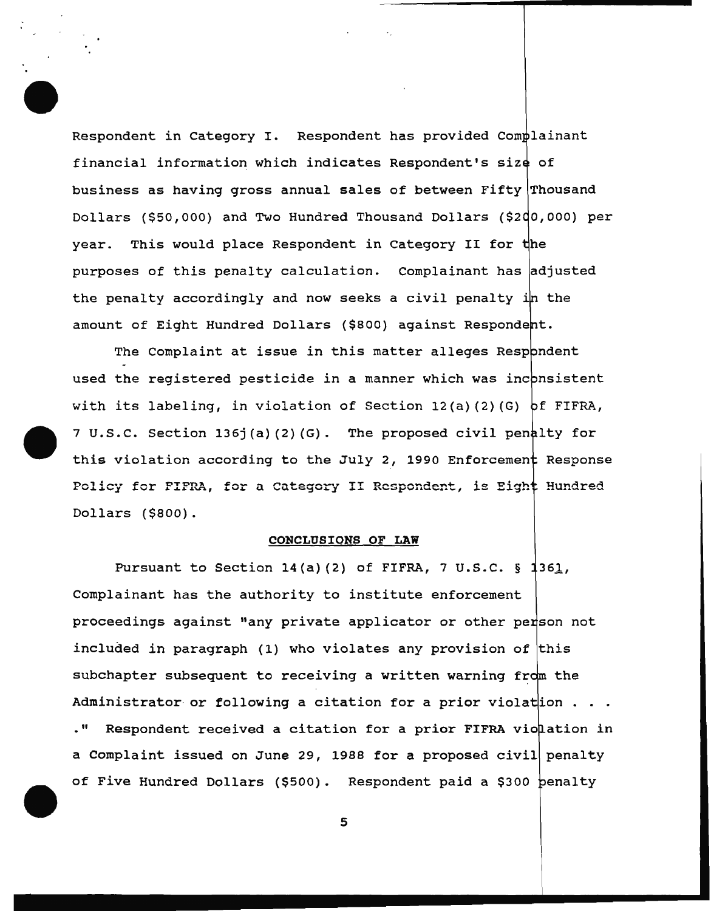Respondent in Category I. Respondent has provided financial information which indicates Respondent's of business as having gross annual sales of between Fifty Thousand Dollars (\$50,000) and Two Hundred Thousand Dollars (\$2 year. This would place Respondent in Category II for purposes of this penalty calculation. complainant has the penalty accordingly and now seeks a civil penalty i<mark>n the</mark> amount of Eight Hundred Dollars (\$800) against Respondent.

The Complaint at issue in this matter alleges Resp $adent$ used the registered pesticide in a manner which was inconsistent with its labeling, in violation of Section 12(a)(2)(G)  $pf$  FIFRA, 7 U.S.C. Section 136j(a)(2)(G). The proposed civil penalty for this violation according to the July 2, 1990 Enforcement Response Policy for FIFRA, for a Category II Respondent, is Eight Hundred Dollars (\$800).

# CONCLUSIONS OF LAW

Pursuant to Section 14(a)(2) of FIFRA, 7 U.S.C.  $\S$  1361, Complainant has the authority to institute enforcement proceedings against "any private applicator or other included in paragraph (1) who violates any provision of this subchapter subsequent to receiving a written warning from the Administrator or following a citation for a prior violat $\mid$ ion . " Respondent received a citation for a prior FIFRA vio $\tt l$ ation in a Complaint issued on June 29, 1988 for a proposed civil penalty of Five Hundred Dollars (\$500). Respondent paid a \$300 penalty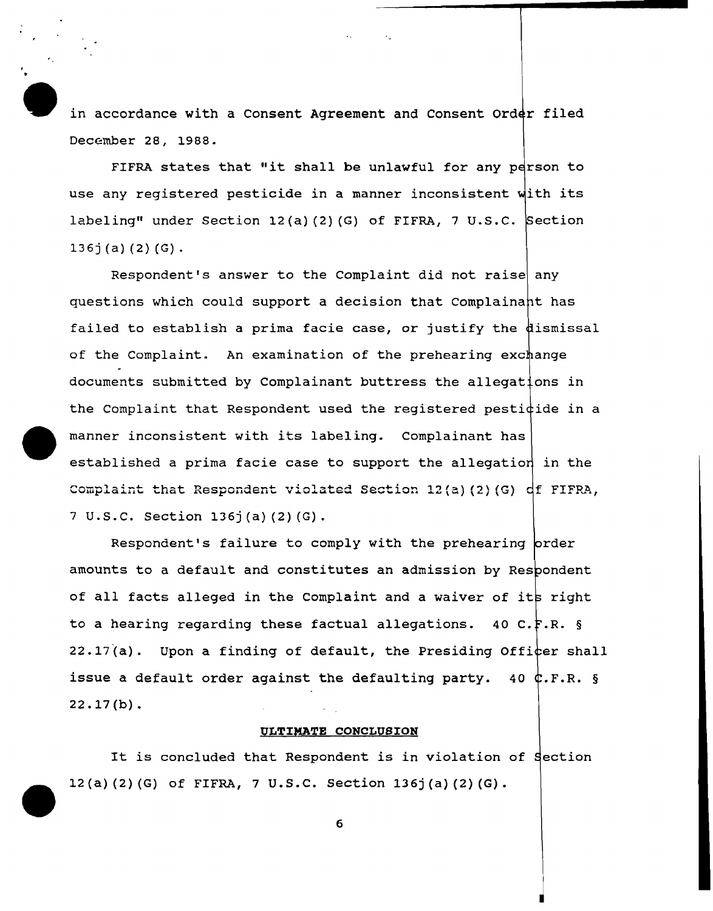in accordance with a Consent Agreement and Consent Order filed December 28, 1988.

FIFRA states that "it shall be unlawful for any person to use any registered pesticide in a manner inconsistent with its labeling" under Section 12(a)(2)(G) of FIFRA, 7 U.S.C. Section  $136j(a)$  (2) (G).

Respondent's answer to the Complaint did not raise any questions which could support a decision that Complainant has failed to establish a prima facie case, or justify the  $d$ ismissal of the Complaint. An examination of the prehearing exchange documents submitted by Complainant buttress the allegations in the Complaint that Respondent used the registered pesticide in a manner inconsistent with its labeling. Complainant has established a prima facie case to support the allegation in the complaint that Respondent violated Section 12(a) (2} (G) 7 u.s.c. Section 136j (a) (2) (G).

Respondent's failure to comply with the prehearing order amounts to a default and constitutes an admission by Respondent of all facts alleged in the Complaint and a waiver of its right to a hearing regarding these factual allegations. 40 C. $_{\rm F.R.}$  § 22.17(a). Upon a finding of default, the Presiding Officer shall issue a default order against the defaulting party.  $40$   $4.$  F.R. §  $22.17(b)$ .

## ULTIMATE CONCLUSION

It is concluded that Respondent is in violation of Section 12 (a) (2) (G) of FIFRA, 7 u.s.c. Section 136j (a) (2) {G).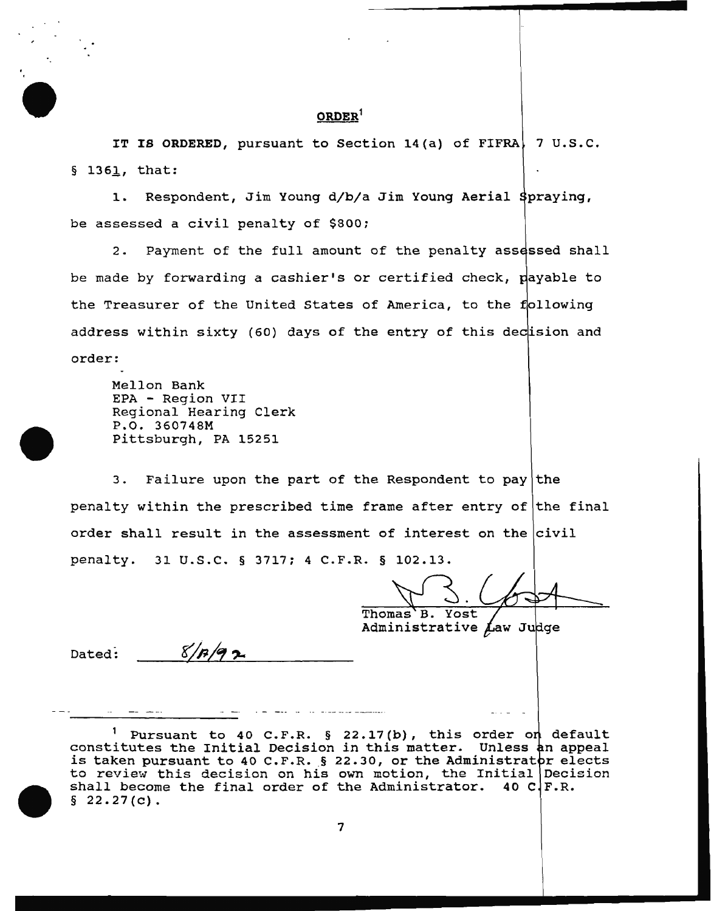## **ORDER<sup>1</sup>**

IT IS ORDERED, pursuant to Section 14(a) of FIFRA, 7 U.S.C.  $§$  1361, that:

1. Respondent, Jim Young d/b/a Jim Young Aerial be assessed a civil penalty of \$800;

2. Payment of the full amount of the penalty assessed shall be made by forwarding a cashier's or certified check, payable to the Treasurer of the United States of America, to the following address within sixty (60) days of the entry of this decision and order:

Mellon Bank EPA - Region VII Regional Hearing Clerk P.O. 360748M Pittsburgh, PA 15251

 $8/p/q$ 

3. Failure upon the part of the Respondent to pay the penalty within the prescribed time frame after entry of the final order shall result in the assessment of interest on the civil penalty. 31 u.s.c. § 3717; 4 C.P.R. § 102.13.

Thomas B. Yost

Administrative Law Judge

Dated:

<sup>1</sup> Pursuant to 40 C.F.R. § 22.17(b), this order on default Pursuant to 40 C.F.R. 3 22.17(b), this order on default<br>constitutes the Initial Decision in this matter. Unless an appeal constitutes the filtial becision in this matter. Onless an appear<br>is taken pursuant to 40 C.F.R. § 22.30, or the Administrator elects Is taken pursuant to 40 C.F.R. 3 22.50, or the Administratur elects<br>to review this decision on his own motion, the Initial Decision shall become the final order of the Administrator. 40 C.F.R.  $§ 22.27(c)$ .

ستنا فللمناصل والمنادر المناصب والتناول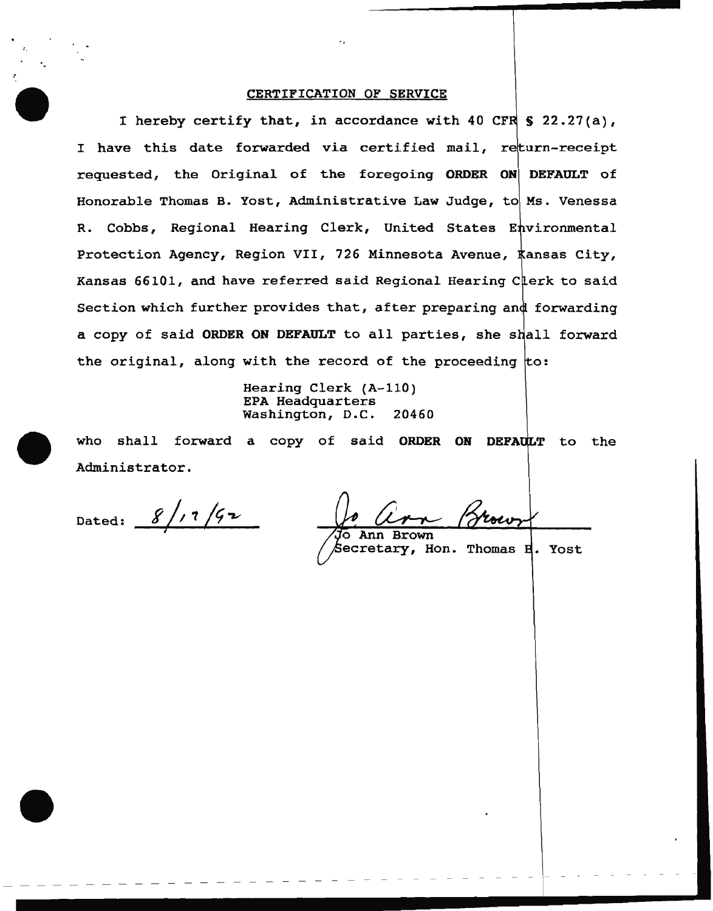## CERTIFICATION OF SERVICE

I hereby certify that, in accordance with 40 CFR  $\ S$  22.27(a), I have this date forwarded via certified mail, return-receipt requested, the Original of the foregoing ORDER ON DEFAULT of Honorable Thomas B. Yost, Administrative Law Judge, to Ms. Venessa R. Cobbs, Regional Hearing Clerk, United States Environmental Protection Agency, Region VII, 726 Minnesota Avenue,  $\frac{1}{\sqrt{2}}$ ansas City, Kansas 66101, and have referred said Regional Hearing Clerk to said Section which further provides that, after preparing and forwarding a copy of said ORDER ON DEFAULT to all parties, she shall forward the original, along with the record of the proceeding  $\text{to}:$ 

> Hearing Clerk (A-110) EPA Headquarters Washington, D.C. 20460

who shall forward a copy of said ORDER ON DEFAULT to the Administrator.

 $8/17/92$ Dated:

Ann **Rrown** 

Secretary, Hon. Thomas **H**. Yost